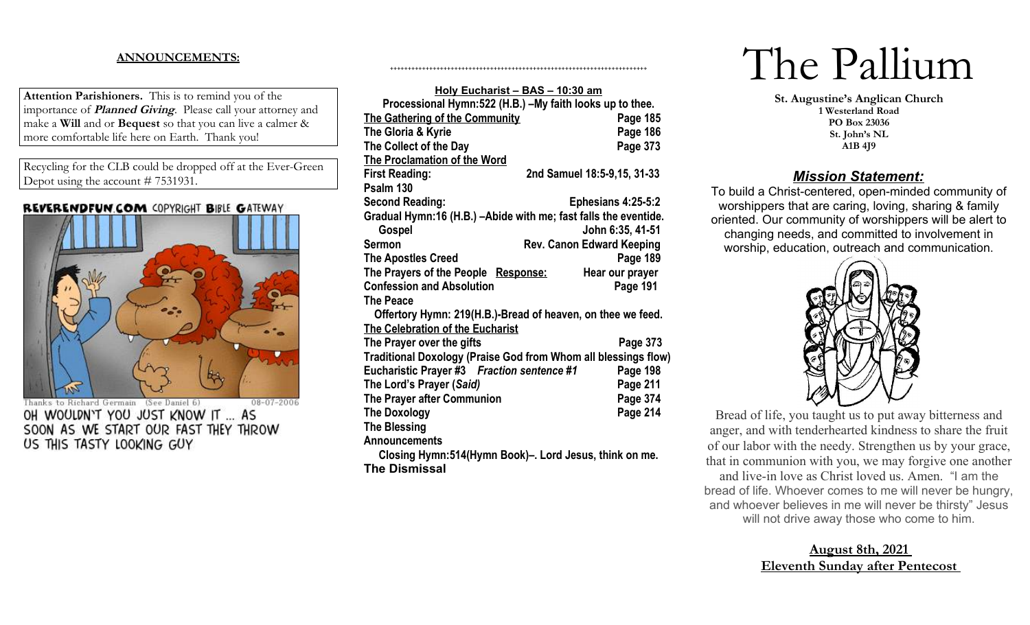### **ANNOUNCEMENTS:**

**Attention Parishioners.** This is to remind you of the importance of **Planned Giving**. Please call your attorney and make a **Will** and or **Bequest** so that you can live a calmer & more comfortable life here on Earth. Thank you!

Recycling for the CLB could be dropped off at the Ever-Green Depot using the account # 7531931.

#### REVERENDFUN.COM COPYRIGHT BIBLE GATEWAY



08-07-2006 Thanks to Richard Germain (See Daniel 6) OH WOULDN'T YOU JUST KNOW IT ... AS SOON AS WE START OUR FAST THEY THROW US THIS TASTY LOOKING GUY

| Holy Eucharist - BAS - 10:30 am                                 |                                  |
|-----------------------------------------------------------------|----------------------------------|
| Processional Hymn:522 (H.B.) -My faith looks up to thee.        |                                  |
| <b>The Gathering of the Community</b>                           | Page 185                         |
| The Gloria & Kyrie                                              | Page 186                         |
| The Collect of the Day                                          | Page 373                         |
| <b>The Proclamation of the Word</b>                             |                                  |
| <b>First Reading:</b>                                           | 2nd Samuel 18:5-9,15, 31-33      |
| Psalm 130                                                       |                                  |
| <b>Second Reading:</b>                                          | Ephesians 4:25-5:2               |
| Gradual Hymn:16 (H.B.) –Abide with me; fast falls the eventide. |                                  |
| Gospel                                                          | John 6:35, 41-51                 |
| Sermon                                                          | <b>Rev. Canon Edward Keeping</b> |
| The Apostles Creed                                              | Page 189                         |
| The Prayers of the People Response:                             | Hear our prayer                  |
| <b>Confession and Absolution</b>                                | Page 191                         |
| <b>The Peace</b>                                                |                                  |
| Offertory Hymn: 219(H.B.)-Bread of heaven, on thee we feed.     |                                  |
| <b>The Celebration of the Eucharist</b>                         |                                  |
| The Prayer over the gifts                                       | Page 373                         |
| Traditional Doxology (Praise God from Whom all blessings flow)  |                                  |
| Eucharistic Prayer #3    Fraction sentence #1                   | Page 198                         |
| The Lord's Prayer (Said)                                        | Page 211                         |
| <b>The Prayer after Communion</b>                               | Page 374                         |
| The Doxology                                                    | Page 214                         |
| <b>The Blessing</b>                                             |                                  |
| <b>Announcements</b>                                            |                                  |
|                                                                 |                                  |

++++++++++++++++++++++++++++++++++++++++++++++++++++++++++++++++++++++++

**Closing Hymn:514(Hymn Book)–. Lord Jesus, think on me. The Dismissal**

# The Pallium

**St. Augustine's Anglican Church 1 Westerland Road PO Box 23036 St. John's NL A1B 4J9**

## *Mission Statement:*

To build a Christ-centered, open-minded community of worshippers that are caring, loving, sharing & family oriented. Our community of worshippers will be alert to changing needs, and committed to involvement in worship, education, outreach and communication.



Bread of life, you taught us to put away bitterness and anger, and with tenderhearted kindness to share the fruit of our labor with the needy. Strengthen us by your grace, that in communion with you, we may forgive one another and live-in love as Christ loved us. Amen. "I am the bread of life. Whoever comes to me will never be hungry, and whoever believes in me will never be thirsty" Jesus will not drive away those who come to him.

# **August 8th, 2021 Eleventh Sunday after Pentecost**